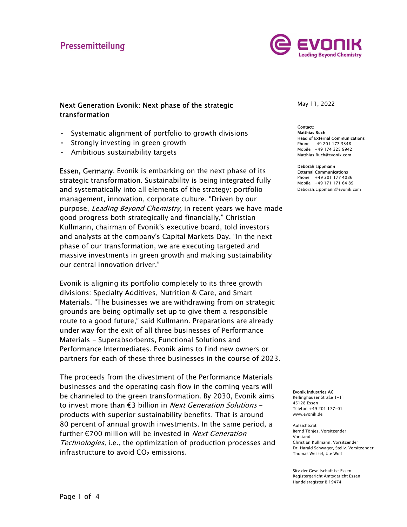# Pressemitteilung



## Next Generation Evonik: Next phase of the strategic transformation

- Systematic alignment of portfolio to growth divisions<br>• Strongly investing in green growth<br>• Ambitious sustainability targets
- 
- 

Deborah Lippmann<br>External Communic is embarking on the next phase of its External Communic strategic transformation. Sustainability is being integrated fully and systematically into all elements of the strategy: portfolio management, innovation, corporate culture. "Driven by our purpose, Leading Beyond Chemistry, in recent years we have made good progress both strategically and financially," Christian Kullmann, chairman of Evonik's executive board, told investors and analysts at the company's Capital Markets Day. "In the next phase of our transformation, we are executing targeted and massive investments in green growth and making sustainability our central innovation driver."

Evonik is aligning its portfolio completely to its three growth divisions: Specialty Additives, Nutrition & Care, and Smart Materials. "The businesses we are withdrawing from on strategic grounds are being optimally set up to give them a responsible route to a good future," said Kullmann. Preparations are already under way for the exit of all three businesses of Performance Materials - Superabsorbents, Functional Solutions and Performance Intermediates. Evonik aims to find new owners or partners for each of these three businesses in the course of 2023.

The proceeds from the divestment of the Performance Materials businesses and the operating cash flow in the coming years will be channeled to the green transformation. By 2030, Evonik aims to invest more than €3 billion in *Next Generation Solutions* -<br>products with superior sustainability benefits. That is around 80 percent of annual growth investments. In the same period, a further  $\epsilon$ 700 million will be invested in *Next Generation* Technologies, i.e., the optimization of production processes and infrastructure to avoid  $CO<sub>2</sub>$  emissions.

May 11, 2022

**Contact:** Matthias Ruch Head of External Communications Phone +49 201 177 3348 Mobile +49 174 325 9942 Matthias.Ruch@evonik.com

**External Communications** Phone +49 201 177 4086 Mobile +49 171 171 64 89 Deborah.Lippmann@evonik.com

Evonik Industries AG

Rellinghauser Straße 1-11 45128 Essen Telefon +49 201 177-01 www.evonik.de

Aufsichtsrat Bernd Tönjes, Vorsitzender Vorstand Christian Kullmann, Vorsitzender Dr. Harald Schwager, Stellv. Vorsitzender Thomas Wessel, Ute Wolf

Sitz der Gesellschaft ist Essen Registergericht Amtsgericht Essen Handelsregister B 19474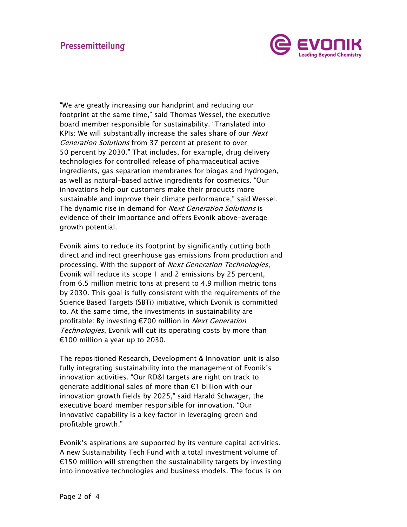

"We are greatly increasing our handprint and reducing our footprint at the same time," said Thomas Wessel, the executive board member responsible for sustainability. "Translated into KPIs: We will substantially increase the sales share of our *Next* Generation Solutions from 37 percent at present to over 50 percent by 2030." That includes, for example, drug delivery technologies for controlled release of pharmaceutical active ingredients, gas separation membranes for biogas and hydrogen, as well as natural-based active ingredients for cosmetics. "Our innovations help our customers make their products more sustainable and improve their climate performance," said Wessel. The dynamic rise in demand for Next Generation Solutions is evidence of their importance and offers Evonik above-average growth potential.

Evonik aims to reduce its footprint by significantly cutting both direct and indirect greenhouse gas emissions from production and processing. With the support of *Next Generation Technologies*, Evonik will reduce its scope 1 and 2 emissions by 25 percent, from 6.5 million metric tons at present to 4.9 million metric tons by 2030. This goal is fully consistent with the requirements of the Science Based Targets (SBTi) initiative, which Evonik is committed to. At the same time, the investments in sustainability are profitable: By investing €700 million in *Next Generation* Technologies, Evonik will cut its operating costs by more than €100 million a year up to 2030.

The repositioned Research, Development & Innovation unit is also fully integrating sustainability into the management of Evonik's innovation activities. "Our RD&I targets are right on track to generate additional sales of more than €1 billion with our innovation growth fields by 2025," said Harald Schwager, the executive board member responsible for innovation. "Our innovative capability is a key factor in leveraging green and profitable growth."

Evonik's aspirations are supported by its venture capital activities. A new Sustainability Tech Fund with a total investment volume of €150 million will strengthen the sustainability targets by investing into innovative technologies and business models. The focus is on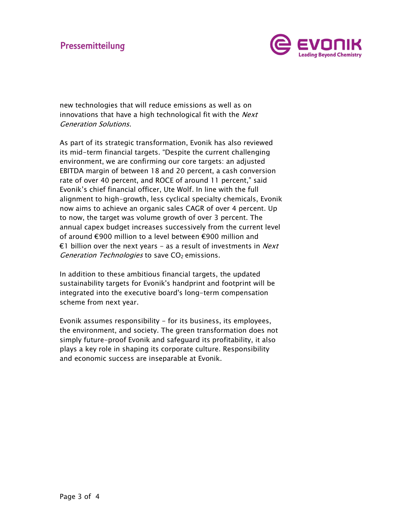

new technologies that will reduce emissions as well as on innovations that have a high technological fit with the *Next* 

*Generation Solutions*.<br>As part of its strategic transformation, Evonik has also reviewed its mid-term financial targets. "Despite the current challenging environment, we are confirming our core targets: an adjusted EBITDA margin of between 18 and 20 percent, a cash conversion rate of over 40 percent, and ROCE of around 11 percent," said Evonik's chief financial officer, Ute Wolf. In line with the full alignment to high-growth, less cyclical specialty chemicals, Evonik now aims to achieve an organic sales CAGR of over 4 percent. Up to now, the target was volume growth of over 3 percent. The annual capex budget increases successively from the current level of around €900 million to a level between €900 million and €1 billion over the next vears – as a result of investments in *Next* Generation Technologies to save  $CO<sub>2</sub>$  emissions.

In addition to these ambitious financial targets, the updated sustainability targets for Evonik's handprint and footprint will be integrated into the executive board's long-term compensation scheme from next year.

Evonik assumes responsibility - for its business, its employees, the environment, and society. The green transformation does not simply future-proof Evonik and safeguard its profitability, it also plays a key role in shaping its corporate culture. Responsibility and economic success are inseparable at Evonik.